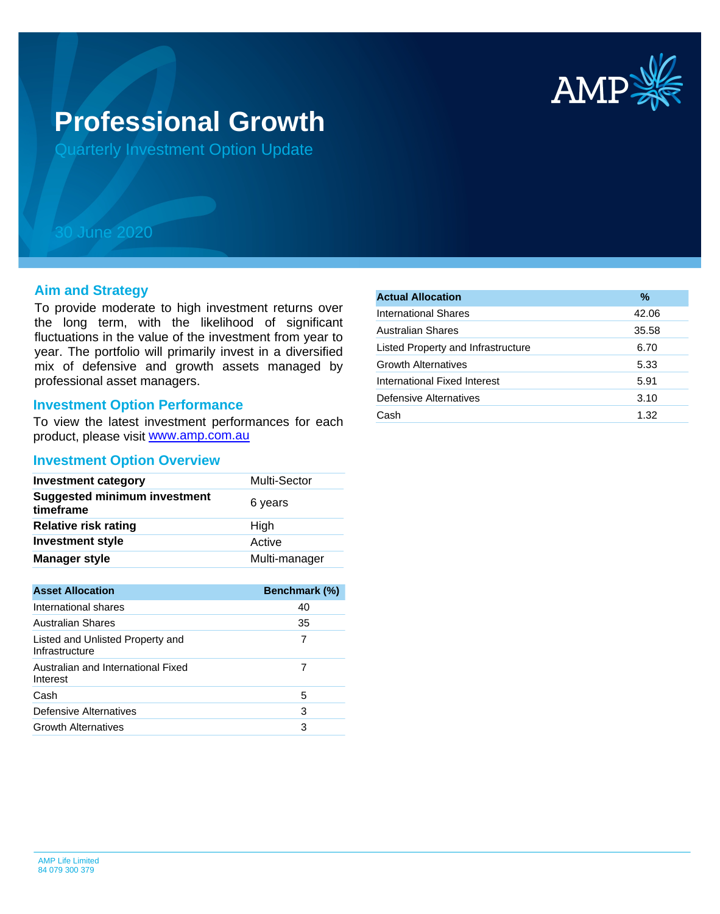

# **Professional Growth**

Quarterly Investment Option Update

## 30 June 2020

#### **Aim and Strategy**

To provide moderate to high investment returns over the long term, with the likelihood of significant fluctuations in the value of the investment from year to year. The portfolio will primarily invest in a diversified mix of defensive and growth assets managed by professional asset managers.

#### **Investment Option Performance**

product, please visit www.amp.com.au To view the latest investment performances for each

#### **Investment Option Overview**

| <b>Investment category</b>                       | <b>Multi-Sector</b> |
|--------------------------------------------------|---------------------|
| <b>Suggested minimum investment</b><br>timeframe | 6 years             |
| <b>Relative risk rating</b>                      | High                |
| <b>Investment style</b>                          | Active              |
| <b>Manager style</b>                             | Multi-manager       |

| <b>Asset Allocation</b>                            | <b>Benchmark (%)</b> |
|----------------------------------------------------|----------------------|
| International shares                               | 40                   |
| Australian Shares                                  | 35                   |
| Listed and Unlisted Property and<br>Infrastructure |                      |
| Australian and International Fixed<br>Interest     |                      |
| Cash                                               | 5                    |
| Defensive Alternatives                             | 3                    |
| <b>Growth Alternatives</b>                         | З                    |

| <b>Actual Allocation</b>           | %     |
|------------------------------------|-------|
| International Shares               | 42.06 |
| <b>Australian Shares</b>           | 35.58 |
| Listed Property and Infrastructure | 6.70  |
| <b>Growth Alternatives</b>         | 5.33  |
| International Fixed Interest       | 5.91  |
| Defensive Alternatives             | 3.10  |
| Cash                               | 1.32  |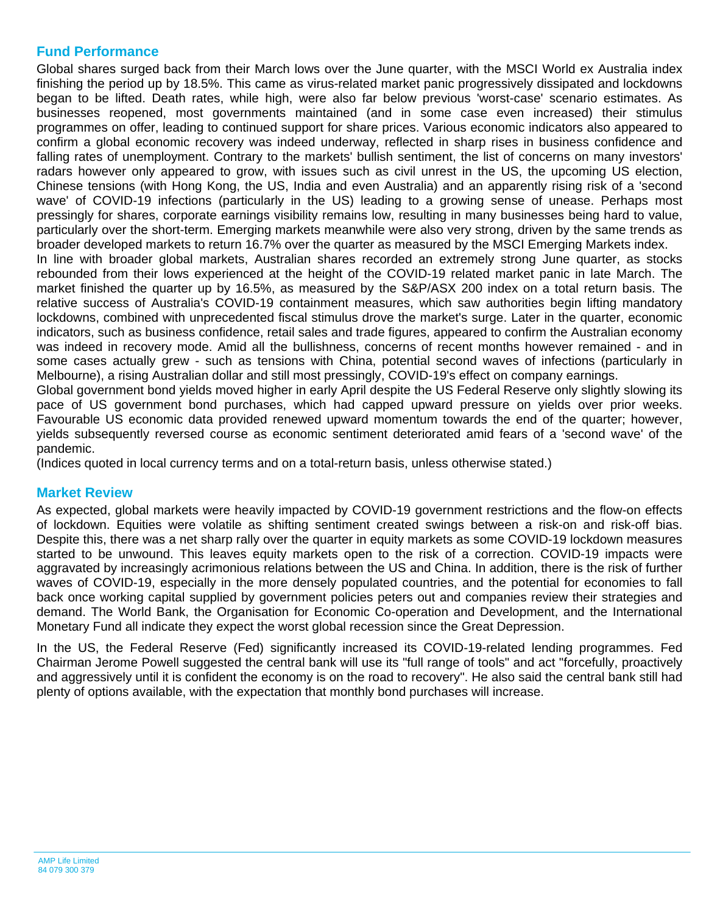## **Fund Performance**

Global shares surged back from their March lows over the June quarter, with the MSCI World ex Australia index finishing the period up by 18.5%. This came as virus-related market panic progressively dissipated and lockdowns began to be lifted. Death rates, while high, were also far below previous 'worst-case' scenario estimates. As businesses reopened, most governments maintained (and in some case even increased) their stimulus programmes on offer, leading to continued support for share prices. Various economic indicators also appeared to confirm a global economic recovery was indeed underway, reflected in sharp rises in business confidence and falling rates of unemployment. Contrary to the markets' bullish sentiment, the list of concerns on many investors' radars however only appeared to grow, with issues such as civil unrest in the US, the upcoming US election, Chinese tensions (with Hong Kong, the US, India and even Australia) and an apparently rising risk of a 'second wave' of COVID-19 infections (particularly in the US) leading to a growing sense of unease. Perhaps most pressingly for shares, corporate earnings visibility remains low, resulting in many businesses being hard to value, particularly over the short-term. Emerging markets meanwhile were also very strong, driven by the same trends as broader developed markets to return 16.7% over the quarter as measured by the MSCI Emerging Markets index. In line with broader global markets, Australian shares recorded an extremely strong June quarter, as stocks rebounded from their lows experienced at the height of the COVID-19 related market panic in late March. The market finished the quarter up by 16.5%, as measured by the S&P/ASX 200 index on a total return basis. The relative success of Australia's COVID-19 containment measures, which saw authorities begin lifting mandatory lockdowns, combined with unprecedented fiscal stimulus drove the market's surge. Later in the quarter, economic indicators, such as business confidence, retail sales and trade figures, appeared to confirm the Australian economy was indeed in recovery mode. Amid all the bullishness, concerns of recent months however remained - and in

Melbourne), a rising Australian dollar and still most pressingly, COVID-19's effect on company earnings. Global government bond yields moved higher in early April despite the US Federal Reserve only slightly slowing its pace of US government bond purchases, which had capped upward pressure on yields over prior weeks. Favourable US economic data provided renewed upward momentum towards the end of the quarter; however, yields subsequently reversed course as economic sentiment deteriorated amid fears of a 'second wave' of the pandemic.

some cases actually grew - such as tensions with China, potential second waves of infections (particularly in

(Indices quoted in local currency terms and on a total-return basis, unless otherwise stated.)

### **Market Review**

As expected, global markets were heavily impacted by COVID-19 government restrictions and the flow-on effects of lockdown. Equities were volatile as shifting sentiment created swings between a risk-on and risk-off bias. Despite this, there was a net sharp rally over the quarter in equity markets as some COVID-19 lockdown measures started to be unwound. This leaves equity markets open to the risk of a correction. COVID-19 impacts were aggravated by increasingly acrimonious relations between the US and China. In addition, there is the risk of further waves of COVID-19, especially in the more densely populated countries, and the potential for economies to fall back once working capital supplied by government policies peters out and companies review their strategies and demand. The World Bank, the Organisation for Economic Co-operation and Development, and the International Monetary Fund all indicate they expect the worst global recession since the Great Depression.

In the US, the Federal Reserve (Fed) significantly increased its COVID-19-related lending programmes. Fed Chairman Jerome Powell suggested the central bank will use its "full range of tools" and act "forcefully, proactively and aggressively until it is confident the economy is on the road to recovery". He also said the central bank still had plenty of options available, with the expectation that monthly bond purchases will increase.